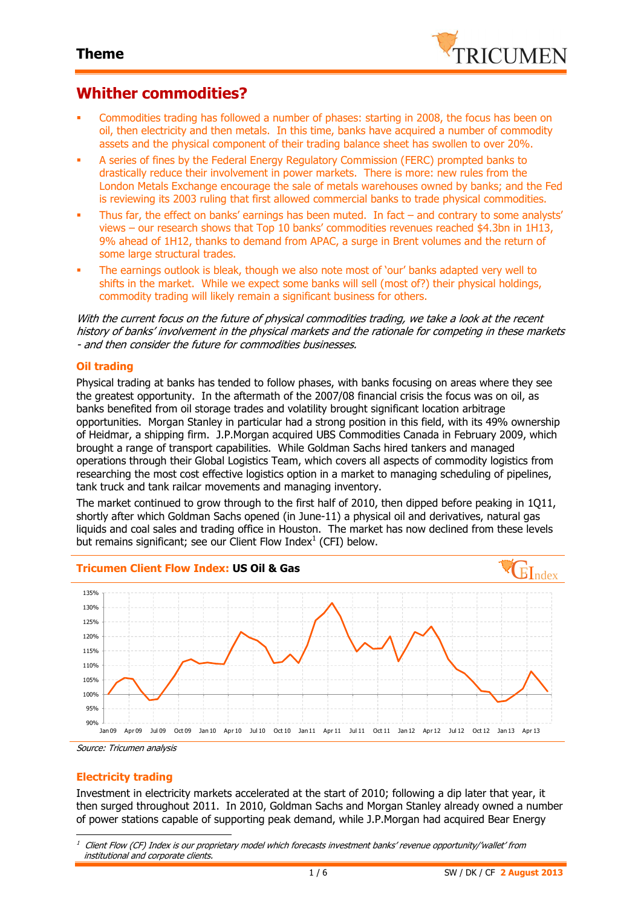

## **Whither commodities?**

- Commodities trading has followed a number of phases: starting in 2008, the focus has been on oil, then electricity and then metals. In this time, banks have acquired a number of commodity assets and the physical component of their trading balance sheet has swollen to over 20%.
- A series of fines by the Federal Energy Regulatory Commission (FERC) prompted banks to drastically reduce their involvement in power markets. There is more: new rules from the London Metals Exchange encourage the sale of metals warehouses owned by banks; and the Fed is reviewing its 2003 ruling that first allowed commercial banks to trade physical commodities.
- Thus far, the effect on banks' earnings has been muted. In fact and contrary to some analysts' views – our research shows that Top 10 banks' commodities revenues reached \$4.3bn in 1H13, 9% ahead of 1H12, thanks to demand from APAC, a surge in Brent volumes and the return of some large structural trades.
- The earnings outlook is bleak, though we also note most of 'our' banks adapted very well to shifts in the market. While we expect some banks will sell (most of?) their physical holdings, commodity trading will likely remain a significant business for others.

With the current focus on the future of physical commodities trading, we take a look at the recent history of banks' involvement in the physical markets and the rationale for competing in these markets - and then consider the future for commodities businesses.

#### **Oil trading**

Physical trading at banks has tended to follow phases, with banks focusing on areas where they see the greatest opportunity. In the aftermath of the 2007/08 financial crisis the focus was on oil, as banks benefited from oil storage trades and volatility brought significant location arbitrage opportunities. Morgan Stanley in particular had a strong position in this field, with its 49% ownership of Heidmar, a shipping firm. J.P.Morgan acquired UBS Commodities Canada in February 2009, which brought a range of transport capabilities. While Goldman Sachs hired tankers and managed operations through their Global Logistics Team, which covers all aspects of commodity logistics from researching the most cost effective logistics option in a market to managing scheduling of pipelines, tank truck and tank railcar movements and managing inventory.

The market continued to grow through to the first half of 2010, then dipped before peaking in 1Q11, shortly after which Goldman Sachs opened (in June-11) a physical oil and derivatives, natural gas liquids and coal sales and trading office in Houston. The market has now declined from these levels but remains significant; see our Client Flow Index $^1$  (CFI) below.



Source: Tricumen analysis

#### **Electricity trading**

 $\overline{a}$ 

Investment in electricity markets accelerated at the start of 2010; following a dip later that year, it then surged throughout 2011. In 2010, Goldman Sachs and Morgan Stanley already owned a number of power stations capable of supporting peak demand, while J.P.Morgan had acquired Bear Energy

<sup>1</sup> Client Flow (CF) Index is our proprietary model which forecasts investment banks' revenue opportunity/'wallet' from institutional and corporate clients.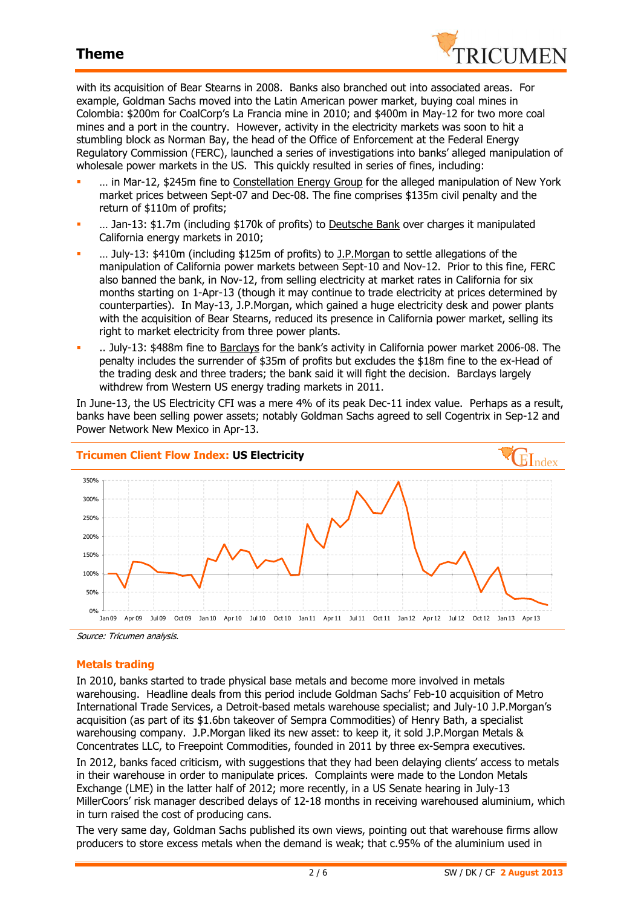

with its acquisition of Bear Stearns in 2008. Banks also branched out into associated areas. For example, Goldman Sachs moved into the Latin American power market, buying coal mines in Colombia: \$200m for CoalCorp's La Francia mine in 2010; and \$400m in May-12 for two more coal mines and a port in the country. However, activity in the electricity markets was soon to hit a stumbling block as Norman Bay, the head of the Office of Enforcement at the Federal Energy Regulatory Commission (FERC), launched a series of investigations into banks' alleged manipulation of wholesale power markets in the US. This quickly resulted in series of fines, including:

- … in Mar-12, \$245m fine to Constellation Energy Group for the alleged manipulation of New York market prices between Sept-07 and Dec-08. The fine comprises \$135m civil penalty and the return of \$110m of profits;
- ... Jan-13: \$1.7m (including \$170k of profits) to Deutsche Bank over charges it manipulated California energy markets in 2010;
- ... July-13: \$410m (including \$125m of profits) to J.P.Morgan to settle allegations of the manipulation of California power markets between Sept-10 and Nov-12. Prior to this fine, FERC also banned the bank, in Nov-12, from selling electricity at market rates in California for six months starting on 1-Apr-13 (though it may continue to trade electricity at prices determined by counterparties). In May-13, J.P.Morgan, which gained a huge electricity desk and power plants with the acquisition of Bear Stearns, reduced its presence in California power market, selling its right to market electricity from three power plants.
- .. July-13: \$488m fine to Barclays for the bank's activity in California power market 2006-08. The penalty includes the surrender of \$35m of profits but excludes the \$18m fine to the ex-Head of the trading desk and three traders; the bank said it will fight the decision. Barclays largely withdrew from Western US energy trading markets in 2011.

In June-13, the US Electricity CFI was a mere 4% of its peak Dec-11 index value. Perhaps as a result, banks have been selling power assets; notably Goldman Sachs agreed to sell Cogentrix in Sep-12 and Power Network New Mexico in Apr-13.



#### **Metals trading**

In 2010, banks started to trade physical base metals and become more involved in metals warehousing. Headline deals from this period include Goldman Sachs' Feb-10 acquisition of Metro International Trade Services, a Detroit-based metals warehouse specialist; and July-10 J.P.Morgan's acquisition (as part of its \$1.6bn takeover of Sempra Commodities) of Henry Bath, a specialist warehousing company. J.P.Morgan liked its new asset: to keep it, it sold J.P.Morgan Metals & Concentrates LLC, to Freepoint Commodities, founded in 2011 by three ex-Sempra executives.

In 2012, banks faced criticism, with suggestions that they had been delaying clients' access to metals in their warehouse in order to manipulate prices. Complaints were made to the London Metals Exchange (LME) in the latter half of 2012; more recently, in a US Senate hearing in July-13 MillerCoors' risk manager described delays of 12-18 months in receiving warehoused aluminium, which in turn raised the cost of producing cans.

The very same day, Goldman Sachs published its own views, pointing out that warehouse firms allow producers to store excess metals when the demand is weak; that c.95% of the aluminium used in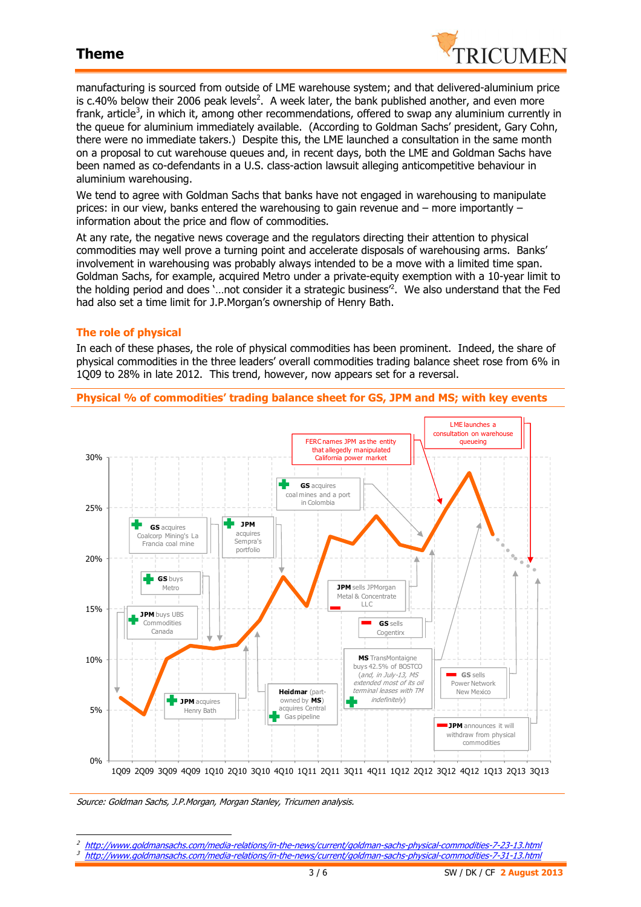## **Theme**



manufacturing is sourced from outside of LME warehouse system; and that delivered-aluminium price is c.40% below their 2006 peak levels<sup>2</sup>. A week later, the bank published another, and even more frank, article<sup>3</sup>, in which it, among other recommendations, offered to swap any aluminium currently in the queue for aluminium immediately available. (According to Goldman Sachs' president, Gary Cohn, there were no immediate takers.) Despite this, the LME launched a consultation in the same month on a proposal to cut warehouse queues and, in recent days, both the LME and Goldman Sachs have been named as co-defendants in a U.S. class-action lawsuit alleging anticompetitive behaviour in aluminium warehousing.

We tend to agree with Goldman Sachs that banks have not engaged in warehousing to manipulate prices: in our view, banks entered the warehousing to gain revenue and – more importantly – information about the price and flow of commodities.

At any rate, the negative news coverage and the regulators directing their attention to physical commodities may well prove a turning point and accelerate disposals of warehousing arms. Banks' involvement in warehousing was probably always intended to be a move with a limited time span. Goldman Sachs, for example, acquired Metro under a private-equity exemption with a 10-year limit to the holding period and does `...not consider it a strategic business<sup>2</sup>. We also understand that the Fed had also set a time limit for J.P.Morgan's ownership of Henry Bath.

#### **The role of physical**

In each of these phases, the role of physical commodities has been prominent. Indeed, the share of physical commodities in the three leaders' overall commodities trading balance sheet rose from 6% in 1Q09 to 28% in late 2012. This trend, however, now appears set for a reversal.

#### **Physical % of commodities' trading balance sheet for GS, JPM and MS; with key events**



Source: Goldman Sachs, J.P.Morgan, Morgan Stanley, Tricumen analysis.

 $\overline{a}$ 

<sup>2</sup> http://www.goldmansachs.com/media-relations/in-the-news/current/goldman-sachs-physical-commodities-7-23-13.html 3

http://www.goldmansachs.com/media-relations/in-the-news/current/goldman-sachs-physical-commodities-7-31-13.html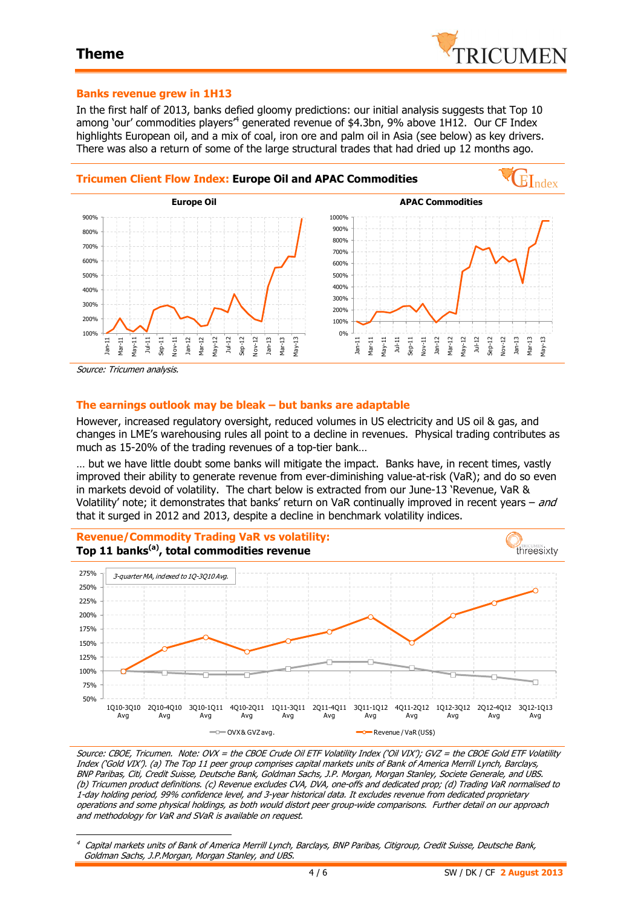

## **Theme**

#### **Banks revenue grew in 1H13**

In the first half of 2013, banks defied gloomy predictions: our initial analysis suggests that Top 10 among 'our' commodities players<sup>,4</sup> generated revenue of \$4.3bn, 9% above 1H12. Our CF Index highlights European oil, and a mix of coal, iron ore and palm oil in Asia (see below) as key drivers. There was also a return of some of the large structural trades that had dried up 12 months ago.



Source: Tricumen analysis.

 $\overline{a}$ 

#### **The earnings outlook may be bleak – but banks are adaptable**

However, increased regulatory oversight, reduced volumes in US electricity and US oil & gas, and changes in LME's warehousing rules all point to a decline in revenues. Physical trading contributes as much as 15-20% of the trading revenues of a top-tier bank…

… but we have little doubt some banks will mitigate the impact. Banks have, in recent times, vastly improved their ability to generate revenue from ever-diminishing value-at-risk (VaR); and do so even in markets devoid of volatility. The chart below is extracted from our June-13 'Revenue, VaR & Volatility' note; it demonstrates that banks' return on VaR continually improved in recent years – and that it surged in 2012 and 2013, despite a decline in benchmark volatility indices.



Source: CBOE, Tricumen. Note: OVX = the CBOE Crude Oil ETF Volatility Index ('Oil VIX'); GVZ = the CBOE Gold ETF Volatility Index ('Gold VIX'). (a) The Top 11 peer group comprises capital markets units of Bank of America Merrill Lynch, Barclays, BNP Paribas, Citi, Credit Suisse, Deutsche Bank, Goldman Sachs, J.P. Morgan, Morgan Stanley, Societe Generale, and UBS. (b) Tricumen product definitions. (c) Revenue excludes CVA, DVA, one-offs and dedicated prop; (d) Trading VaR normalised to 1-day holding period, 99% confidence level, and 3-year historical data. It excludes revenue from dedicated proprietary operations and some physical holdings, as both would distort peer group-wide comparisons. Further detail on our approach and methodology for VaR and SVaR is available on request.

<sup>4</sup> Capital markets units of Bank of America Merrill Lynch, Barclays, BNP Paribas, Citigroup, Credit Suisse, Deutsche Bank, Goldman Sachs, J.P.Morgan, Morgan Stanley, and UBS.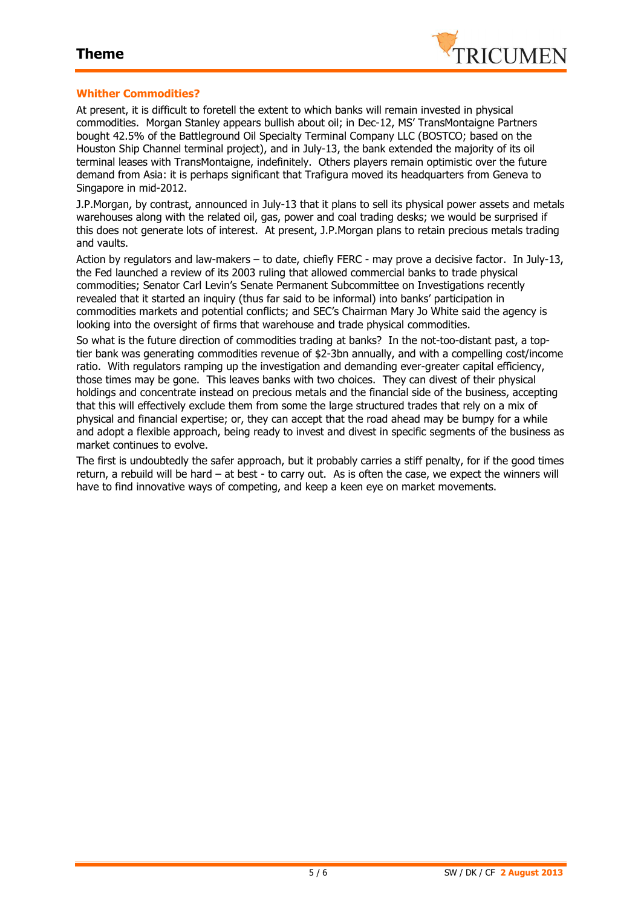

### **Whither Commodities?**

At present, it is difficult to foretell the extent to which banks will remain invested in physical commodities. Morgan Stanley appears bullish about oil; in Dec-12, MS' TransMontaigne Partners bought 42.5% of the Battleground Oil Specialty Terminal Company LLC (BOSTCO; based on the Houston Ship Channel terminal project), and in July-13, the bank extended the majority of its oil terminal leases with TransMontaigne, indefinitely. Others players remain optimistic over the future demand from Asia: it is perhaps significant that Trafigura moved its headquarters from Geneva to Singapore in mid-2012.

J.P.Morgan, by contrast, announced in July-13 that it plans to sell its physical power assets and metals warehouses along with the related oil, gas, power and coal trading desks; we would be surprised if this does not generate lots of interest. At present, J.P.Morgan plans to retain precious metals trading and vaults.

Action by regulators and law-makers – to date, chiefly FERC - may prove a decisive factor. In July-13, the Fed launched a review of its 2003 ruling that allowed commercial banks to trade physical commodities; Senator Carl Levin's Senate Permanent Subcommittee on Investigations recently revealed that it started an inquiry (thus far said to be informal) into banks' participation in commodities markets and potential conflicts; and SEC's Chairman Mary Jo White said the agency is looking into the oversight of firms that warehouse and trade physical commodities.

So what is the future direction of commodities trading at banks? In the not-too-distant past, a toptier bank was generating commodities revenue of \$2-3bn annually, and with a compelling cost/income ratio. With regulators ramping up the investigation and demanding ever-greater capital efficiency, those times may be gone. This leaves banks with two choices. They can divest of their physical holdings and concentrate instead on precious metals and the financial side of the business, accepting that this will effectively exclude them from some the large structured trades that rely on a mix of physical and financial expertise; or, they can accept that the road ahead may be bumpy for a while and adopt a flexible approach, being ready to invest and divest in specific segments of the business as market continues to evolve.

The first is undoubtedly the safer approach, but it probably carries a stiff penalty, for if the good times return, a rebuild will be hard – at best - to carry out. As is often the case, we expect the winners will have to find innovative ways of competing, and keep a keen eye on market movements.